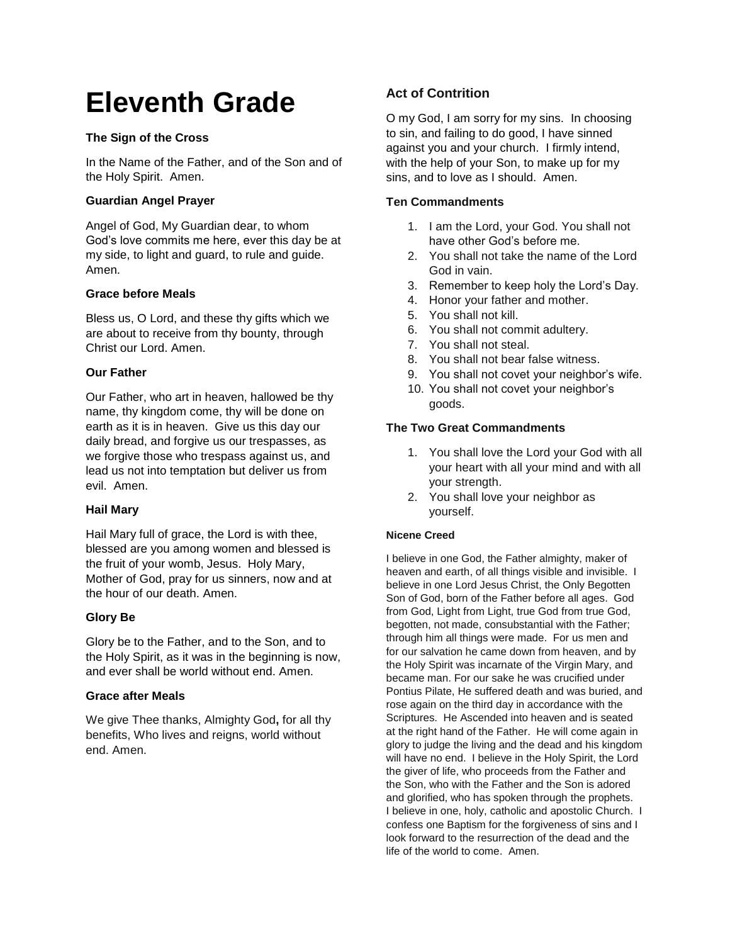# **Eleventh Grade**

# **The Sign of the Cross**

In the Name of the Father, and of the Son and of the Holy Spirit. Amen.

# **Guardian Angel Prayer**

Angel of God, My Guardian dear, to whom God's love commits me here, ever this day be at my side, to light and guard, to rule and guide. Amen.

## **Grace before Meals**

Bless us, O Lord, and these thy gifts which we are about to receive from thy bounty, through Christ our Lord. Amen.

# **Our Father**

Our Father, who art in heaven, hallowed be thy name, thy kingdom come, thy will be done on earth as it is in heaven. Give us this day our daily bread, and forgive us our trespasses, as we forgive those who trespass against us, and lead us not into temptation but deliver us from evil. Amen.

## **Hail Mary**

Hail Mary full of grace, the Lord is with thee, blessed are you among women and blessed is the fruit of your womb, Jesus. Holy Mary, Mother of God, pray for us sinners, now and at the hour of our death. Amen.

## **Glory Be**

Glory be to the Father, and to the Son, and to the Holy Spirit, as it was in the beginning is now, and ever shall be world without end. Amen.

## **Grace after Meals**

We give Thee thanks, Almighty God**,** for all thy benefits, Who lives and reigns, world without end. Amen.

# **Act of Contrition**

O my God, I am sorry for my sins. In choosing to sin, and failing to do good, I have sinned against you and your church. I firmly intend, with the help of your Son, to make up for my sins, and to love as I should. Amen.

# **Ten Commandments**

- 1. I am the Lord, your God. You shall not have other God's before me.
- 2. You shall not take the name of the Lord God in vain.
- 3. Remember to keep holy the Lord's Day.
- 4. Honor your father and mother.
- 5. You shall not kill.
- 6. You shall not commit adultery.
- 7. You shall not steal.
- 8. You shall not bear false witness.
- 9. You shall not covet your neighbor's wife.
- 10. You shall not covet your neighbor's goods.

# **The Two Great Commandments**

- 1. You shall love the Lord your God with all your heart with all your mind and with all your strength.
- 2. You shall love your neighbor as yourself.

## **Nicene Creed**

I believe in one God, the Father almighty, maker of heaven and earth, of all things visible and invisible. I believe in one Lord Jesus Christ, the Only Begotten Son of God, born of the Father before all ages. God from God, Light from Light, true God from true God, begotten, not made, consubstantial with the Father; through him all things were made. For us men and for our salvation he came down from heaven, and by the Holy Spirit was incarnate of the Virgin Mary, and became man. For our sake he was crucified under Pontius Pilate, He suffered death and was buried, and rose again on the third day in accordance with the Scriptures. He Ascended into heaven and is seated at the right hand of the Father. He will come again in glory to judge the living and the dead and his kingdom will have no end. I believe in the Holy Spirit, the Lord the giver of life, who proceeds from the Father and the Son, who with the Father and the Son is adored and glorified, who has spoken through the prophets. I believe in one, holy, catholic and apostolic Church. I confess one Baptism for the forgiveness of sins and I look forward to the resurrection of the dead and the life of the world to come. Amen.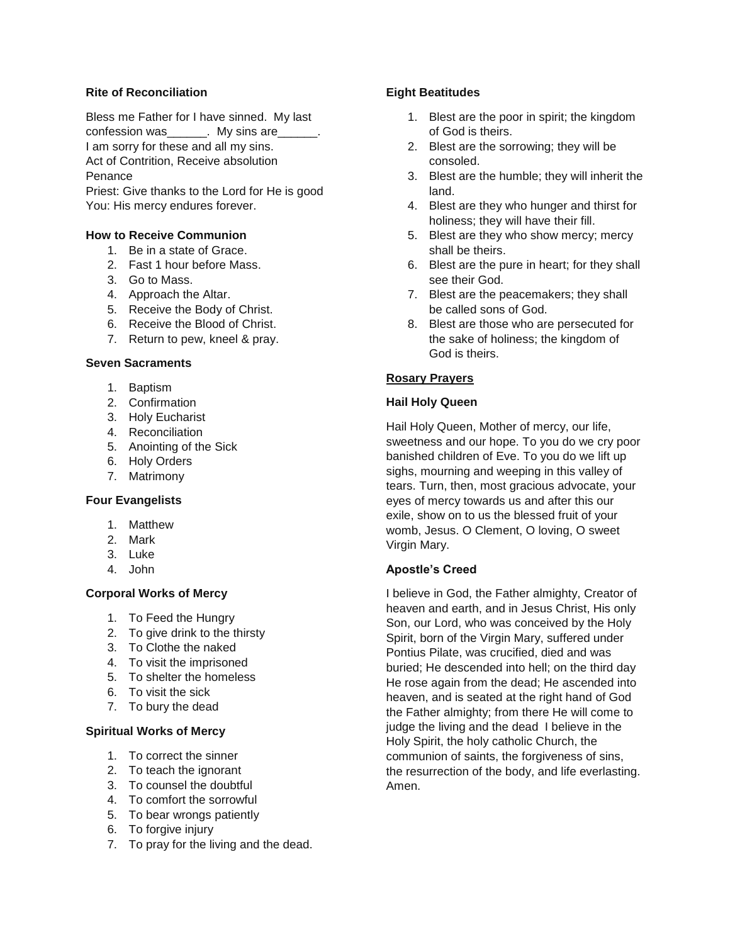#### **Rite of Reconciliation**

Bless me Father for I have sinned. My last confession was\_\_\_\_\_\_. My sins are\_\_\_\_\_\_. I am sorry for these and all my sins. Act of Contrition, Receive absolution Penance

Priest: Give thanks to the Lord for He is good You: His mercy endures forever.

## **How to Receive Communion**

- 1. Be in a state of Grace.
- 2. Fast 1 hour before Mass.
- 3. Go to Mass.
- 4. Approach the Altar.
- 5. Receive the Body of Christ.
- 6. Receive the Blood of Christ.
- 7. Return to pew, kneel & pray.

#### **Seven Sacraments**

- 1. Baptism
- 2. Confirmation
- 3. Holy Eucharist
- 4. Reconciliation
- 5. Anointing of the Sick
- 6. Holy Orders
- 7. Matrimony

## **Four Evangelists**

- 1. Matthew
- 2. Mark
- 3. Luke
- 4. John

# **Corporal Works of Mercy**

- 1. To Feed the Hungry
- 2. To give drink to the thirsty
- 3. To Clothe the naked
- 4. To visit the imprisoned
- 5. To shelter the homeless
- 6. To visit the sick
- 7. To bury the dead

#### **Spiritual Works of Mercy**

- 1. To correct the sinner
- 2. To teach the ignorant
- 3. To counsel the doubtful
- 4. To comfort the sorrowful
- 5. To bear wrongs patiently
- 6. To forgive injury
- 7. To pray for the living and the dead.

## **Eight Beatitudes**

- 1. Blest are the poor in spirit; the kingdom of God is theirs.
- 2. Blest are the sorrowing; they will be consoled.
- 3. Blest are the humble; they will inherit the land.
- 4. Blest are they who hunger and thirst for holiness; they will have their fill.
- 5. Blest are they who show mercy; mercy shall be theirs.
- 6. Blest are the pure in heart; for they shall see their God.
- 7. Blest are the peacemakers; they shall be called sons of God.
- 8. Blest are those who are persecuted for the sake of holiness; the kingdom of God is theirs.

# **Rosary Prayers**

## **Hail Holy Queen**

Hail Holy Queen, Mother of mercy, our life, sweetness and our hope. To you do we cry poor banished children of Eve. To you do we lift up sighs, mourning and weeping in this valley of tears. Turn, then, most gracious advocate, your eyes of mercy towards us and after this our exile, show on to us the blessed fruit of your womb, Jesus. O Clement, O loving, O sweet Virgin Mary.

## **Apostle's Creed**

I believe in God, the Father almighty, Creator of heaven and earth, and in Jesus Christ, His only Son, our Lord, who was conceived by the Holy Spirit, born of the Virgin Mary, suffered under Pontius Pilate, was crucified, died and was buried; He descended into hell; on the third day He rose again from the dead; He ascended into heaven, and is seated at the right hand of God the Father almighty; from there He will come to judge the living and the dead I believe in the Holy Spirit, the holy catholic Church, the communion of saints, the forgiveness of sins, the resurrection of the body, and life everlasting. Amen.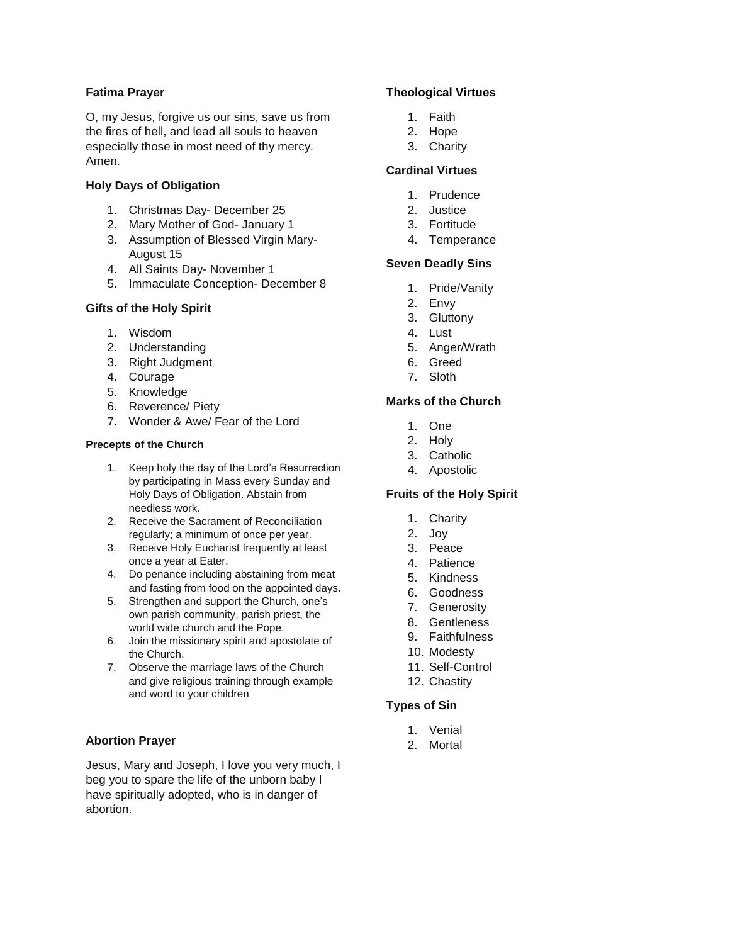## **Fatima Prayer**

O, my Jesus, forgive us our sins, save us from the fires of hell, and lead all souls to heaven especially those in most need of thy mercy. Amen.

#### **Holy Days of Obligation**

- 1. Christmas Day- December 25
- 2. Mary Mother of God- January 1
- 3. Assumption of Blessed Virgin Mary-August 15
- 4. All Saints Day- November 1
- 5. Immaculate Conception- December 8

#### **Gifts of the Holy Spirit**

- 1. Wisdom
- 2. Understanding
- 3. Right Judgment
- 4. Courage
- 5. Knowledge
- 6. Reverence/ Piety
- 7. Wonder & Awe/ Fear of the Lord

#### **Precepts of the Church**

- 1. Keep holy the day of the Lord's Resurrection by participating in Mass every Sunday and Holy Days of Obligation. Abstain from needless work.
- 2. Receive the Sacrament of Reconciliation regularly; a minimum of once per year.
- 3. Receive Holy Eucharist frequently at least once a year at Eater.
- 4. Do penance including abstaining from meat and fasting from food on the appointed days.
- 5. Strengthen and support the Church, one's own parish community, parish priest, the world wide church and the Pope.
- 6. Join the missionary spirit and apostolate of the Church.
- 7. Observe the marriage laws of the Church and give religious training through example and word to your children

## **Abortion Prayer**

Jesus, Mary and Joseph, I love you very much, I beg you to spare the life of the unborn baby I have spiritually adopted, who is in danger of abortion.

## **Theological Virtues**

- 1. Faith
- 2. Hope
- 3. Charity

# **Cardinal Virtues**

- 1. Prudence
- 2. Justice
- 3. Fortitude
- 4. Temperance

# **Seven Deadly Sins**

- 1. Pride/Vanity
- 2. Envy
- 3. Gluttony
- 4. Lust
- 5. Anger/Wrath
- 6. Greed
- 7. Sloth

# **Marks of the Church**

- 1. One
- 2. Holy
- 3. Catholic
- 4. Apostolic

## **Fruits of the Holy Spirit**

- 1. Charity
- 2. Joy
- 3. Peace
- 4. Patience
- 5. Kindness
- 6. Goodness
- 7. Generosity
- 8. Gentleness
- 9. Faithfulness
- 10. Modesty
- 11. Self-Control
- 12. Chastity

#### **Types of Sin**

- 1. Venial
- 2. Mortal